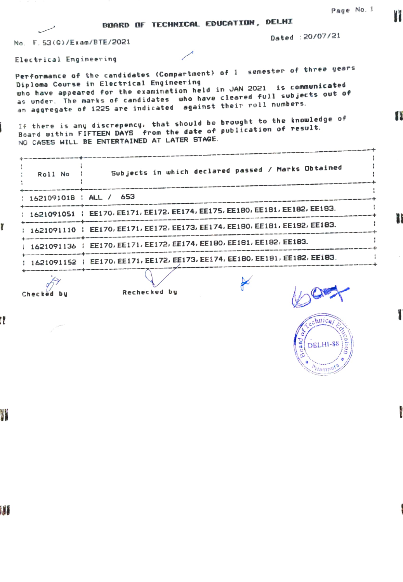| Page No. 1 |  |  |
|------------|--|--|
|------------|--|--|

T

P

BDARD OF TECHNICAL EDUCATION, DELHI

No. F.53(G)/Exam/BTE/2021

Dated 20/07/21

Electrical Engineer ing

Performance of the candidates (Compartment) of I semester of three years Diploma Course in Electrical Engineering uho have appeared for the examination held in JAN 2021 is communicated as under. The marks of candidates who have cleared full sub jects 0Ut of an aggregate of 1225 are indicated against their roll numbers.

If there is any discrepency, that should be brought to the knowledge of Board oithin FIFTEEN DAYS from the date of publication of result. NO CASES WILL BE ENTERTAINED AT LATER STAGE.

| Roll No                  | Subjects in which declared passed / Marks Obtained                            |
|--------------------------|-------------------------------------------------------------------------------|
|                          |                                                                               |
| : 1621091018 : ALL / 653 |                                                                               |
|                          | 1621091051   EE170, EE171, EE172, EE174, EE175, EE180, EE181, EE182, EE183.   |
|                          |                                                                               |
|                          | 1621091110   EE170, EE171, EE172, EE173, EE174, EE180, EE181, EE182, EE183.   |
|                          |                                                                               |
|                          | 1621091136   EE170, EE171, EE172, EE174, EE180, EE181, EE182, EE183.          |
|                          |                                                                               |
|                          | : 1621091152 : EE170, EE171, EE172, EE173, EE174, EE180, EE181, EE182, EE183. |
|                          |                                                                               |

Checked by Rechecked by

 $\approx$ 



l l

ĭ

W

W